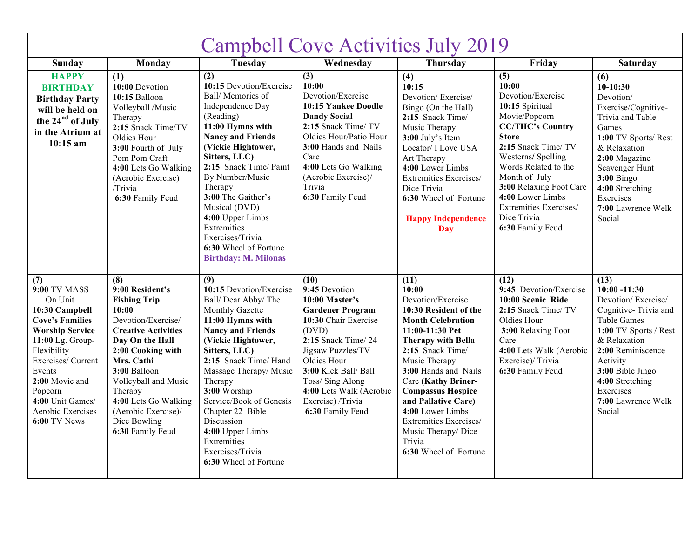| <b>Campbell Cove Activities July 2019</b>                                                                                                                                                                                                                            |                                                                                                                                                                                                                                                                                                        |                                                                                                                                                                                                                                                                                                                                                                                          |                                                                                                                                                                                                                                                                               |                                                                                                                                                                                                                                                                                                                                                                                       |                                                                                                                                                                                                                                                                                                                   |                                                                                                                                                                                                                                                           |
|----------------------------------------------------------------------------------------------------------------------------------------------------------------------------------------------------------------------------------------------------------------------|--------------------------------------------------------------------------------------------------------------------------------------------------------------------------------------------------------------------------------------------------------------------------------------------------------|------------------------------------------------------------------------------------------------------------------------------------------------------------------------------------------------------------------------------------------------------------------------------------------------------------------------------------------------------------------------------------------|-------------------------------------------------------------------------------------------------------------------------------------------------------------------------------------------------------------------------------------------------------------------------------|---------------------------------------------------------------------------------------------------------------------------------------------------------------------------------------------------------------------------------------------------------------------------------------------------------------------------------------------------------------------------------------|-------------------------------------------------------------------------------------------------------------------------------------------------------------------------------------------------------------------------------------------------------------------------------------------------------------------|-----------------------------------------------------------------------------------------------------------------------------------------------------------------------------------------------------------------------------------------------------------|
| Sunday                                                                                                                                                                                                                                                               | Monday                                                                                                                                                                                                                                                                                                 | Tuesday                                                                                                                                                                                                                                                                                                                                                                                  | Wednesday                                                                                                                                                                                                                                                                     | Thursday                                                                                                                                                                                                                                                                                                                                                                              | Friday                                                                                                                                                                                                                                                                                                            | <b>Saturday</b>                                                                                                                                                                                                                                           |
| <b>HAPPY</b><br><b>BIRTHDAY</b><br><b>Birthday Party</b><br>will be held on<br>the 24 <sup>nd</sup> of July<br>in the Atrium at<br>$10:15$ am                                                                                                                        | (1)<br>10:00 Devotion<br>10:15 Balloon<br>Volleyball /Music<br>Therapy<br>2:15 Snack Time/TV<br>Oldies Hour<br>3:00 Fourth of July<br>Pom Pom Craft<br>4:00 Lets Go Walking<br>(Aerobic Exercise)<br>/Trivia<br>6:30 Family Feud                                                                       | (2)<br>10:15 Devotion/Exercise<br>Ball/Memories of<br>Independence Day<br>(Reading)<br>11:00 Hymns with<br><b>Nancy and Friends</b><br>(Vickie Hightower,<br>Sitters, LLC)<br>2:15 Snack Time/ Paint<br>By Number/Music<br>Therapy<br>3:00 The Gaither's<br>Musical (DVD)<br>4:00 Upper Limbs<br>Extremities<br>Exercises/Trivia<br>6:30 Wheel of Fortune<br><b>Birthday: M. Milonas</b> | (3)<br>10:00<br>Devotion/Exercise<br>10:15 Yankee Doodle<br><b>Dandy Social</b><br>2:15 Snack Time/ TV<br>Oldies Hour/Patio Hour<br><b>3:00 Hands and Nails</b><br>Care<br>4:00 Lets Go Walking<br>(Aerobic Exercise)/<br>Trivia<br>6:30 Family Feud                          | (4)<br>10:15<br>Devotion/Exercise/<br>Bingo (On the Hall)<br>2:15 Snack Time/<br>Music Therapy<br>3:00 July's Item<br>Locator/ I Love USA<br>Art Therapy<br>4:00 Lower Limbs<br>Extremities Exercises/<br>Dice Trivia<br>6:30 Wheel of Fortune<br><b>Happy Independence</b><br><b>Day</b>                                                                                             | (5)<br>10:00<br>Devotion/Exercise<br>10:15 Spiritual<br>Movie/Popcorn<br><b>CC/THC's Country</b><br><b>Store</b><br>2:15 Snack Time/ TV<br>Westerns/Spelling<br>Words Related to the<br>Month of July<br>3:00 Relaxing Foot Care<br>4:00 Lower Limbs<br>Extremities Exercises/<br>Dice Trivia<br>6:30 Family Feud | (6)<br>$10-10:30$<br>Devotion/<br>Exercise/Cognitive-<br>Trivia and Table<br>Games<br>1:00 TV Sports/Rest<br>& Relaxation<br>2:00 Magazine<br>Scavenger Hunt<br>$3:00$ Bingo<br>4:00 Stretching<br>Exercises<br>7:00 Lawrence Welk<br>Social              |
| (7)<br><b>9:00 TV MASS</b><br>On Unit<br>10:30 Campbell<br><b>Cove's Families</b><br><b>Worship Service</b><br>11:00 Lg. Group-<br>Flexibility<br>Exercises/ Current<br>Events<br>2:00 Movie and<br>Popcorn<br>4:00 Unit Games/<br>Aerobic Exercises<br>6:00 TV News | (8)<br>9:00 Resident's<br><b>Fishing Trip</b><br>10:00<br>Devotion/Exercise/<br><b>Creative Activities</b><br>Day On the Hall<br>2:00 Cooking with<br>Mrs. Cathi<br>3:00 Balloon<br>Volleyball and Music<br>Therapy<br>4:00 Lets Go Walking<br>(Aerobic Exercise)/<br>Dice Bowling<br>6:30 Family Feud | (9)<br>10:15 Devotion/Exercise<br>Ball/Dear Abby/The<br>Monthly Gazette<br>11:00 Hymns with<br><b>Nancy and Friends</b><br>(Vickie Hightower,<br>Sitters, LLC)<br>2:15 Snack Time/ Hand<br>Massage Therapy/Music<br>Therapy<br>3:00 Worship<br>Service/Book of Genesis<br>Chapter 22 Bible<br>Discussion<br>4:00 Upper Limbs<br>Extremities<br>Exercises/Trivia<br>6:30 Wheel of Fortune | (10)<br>9:45 Devotion<br>10:00 Master's<br><b>Gardener Program</b><br>10:30 Chair Exercise<br>(DVD)<br>2:15 Snack Time/ 24<br>Jigsaw Puzzles/TV<br>Oldies Hour<br>3:00 Kick Ball/ Ball<br>Toss/Sing Along<br>4:00 Lets Walk (Aerobic<br>Exercise) /Trivia<br>6:30 Family Feud | (11)<br>10:00<br>Devotion/Exercise<br>10:30 Resident of the<br><b>Month Celebration</b><br>11:00-11:30 Pet<br><b>Therapy with Bella</b><br>2:15 Snack Time/<br>Music Therapy<br>3:00 Hands and Nails<br>Care (Kathy Briner-<br><b>Compassus Hospice</b><br>and Pallative Care)<br>4:00 Lower Limbs<br>Extremities Exercises/<br>Music Therapy/Dice<br>Trivia<br>6:30 Wheel of Fortune | (12)<br>9:45 Devotion/Exercise<br>10:00 Scenic Ride<br>2:15 Snack Time/TV<br>Oldies Hour<br>3:00 Relaxing Foot<br>Care<br>4:00 Lets Walk (Aerobic<br>Exercise)/Trivia<br>6:30 Family Feud                                                                                                                         | (13)<br>$10:00 - 11:30$<br>Devotion/Exercise/<br>Cognitive-Trivia and<br><b>Table Games</b><br>1:00 TV Sports / Rest<br>& Relaxation<br>2:00 Reminiscence<br>Activity<br>3:00 Bible Jingo<br>4:00 Stretching<br>Exercises<br>7:00 Lawrence Welk<br>Social |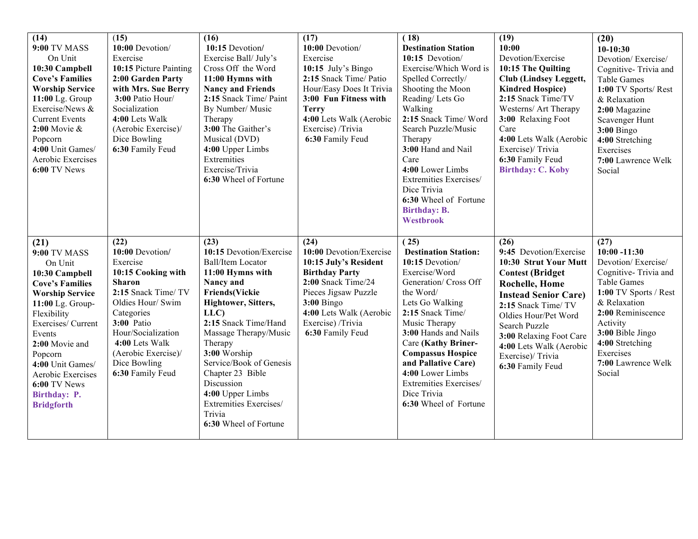| (14)<br><b>9:00 TV MASS</b><br>On Unit<br>10:30 Campbell<br><b>Cove's Families</b><br><b>Worship Service</b><br>11:00 Lg. Group<br>Exercise/News &<br><b>Current Events</b><br>$2:00$ Movie &<br>Popcorn<br>4:00 Unit Games/<br>Aerobic Exercises<br>6:00 TV News                                          | (15)<br>10:00 Devotion/<br>Exercise<br>10:15 Picture Painting<br>2:00 Garden Party<br>with Mrs. Sue Berry<br>3:00 Patio Hour/<br>Socialization<br>4:00 Lets Walk<br>(Aerobic Exercise)/<br>Dice Bowling<br>6:30 Family Feud                           | (16)<br>10:15 Devotion/<br>Exercise Ball/July's<br>Cross Off the Word<br>11:00 Hymns with<br><b>Nancy and Friends</b><br>2:15 Snack Time/ Paint<br>By Number/ Music<br>Therapy<br>3:00 The Gaither's<br>Musical (DVD)<br>4:00 Upper Limbs<br>Extremities<br>Exercise/Trivia<br>6:30 Wheel of Fortune                                                                           | (17)<br>10:00 Devotion/<br>Exercise<br>10:15 July's Bingo<br>2:15 Snack Time/ Patio<br>Hour/Easy Does It Trivia<br>3:00 Fun Fitness with<br><b>Terry</b><br>4:00 Lets Walk (Aerobic<br>Exercise) /Trivia<br>6:30 Family Feud | (18)<br><b>Destination Station</b><br>10:15 Devotion/<br>Exercise/Which Word is<br>Spelled Correctly/<br>Shooting the Moon<br>Reading/Lets Go<br>Walking<br>2:15 Snack Time/ Word<br>Search Puzzle/Music<br>Therapy<br>3:00 Hand and Nail<br>Care<br>4:00 Lower Limbs<br>Extremities Exercises/<br>Dice Trivia<br>6:30 Wheel of Fortune<br><b>Birthday: B.</b><br>Westbrook | (19)<br>10:00<br>Devotion/Exercise<br>10:15 The Quilting<br><b>Club (Lindsey Leggett,</b><br><b>Kindred Hospice</b> )<br>2:15 Snack Time/TV<br>Westerns/ Art Therapy<br>3:00 Relaxing Foot<br>Care<br>4:00 Lets Walk (Aerobic<br>Exercise)/Trivia<br>6:30 Family Feud<br><b>Birthday: C. Koby</b>         | (20)<br>$10-10:30$<br>Devotion/Exercise/<br>Cognitive-Trivia and<br>Table Games<br>1:00 TV Sports/Rest<br>& Relaxation<br>2:00 Magazine<br>Scavenger Hunt<br><b>3:00 Bingo</b><br>4:00 Stretching<br>Exercises<br>7:00 Lawrence Welk<br>Social     |
|------------------------------------------------------------------------------------------------------------------------------------------------------------------------------------------------------------------------------------------------------------------------------------------------------------|-------------------------------------------------------------------------------------------------------------------------------------------------------------------------------------------------------------------------------------------------------|--------------------------------------------------------------------------------------------------------------------------------------------------------------------------------------------------------------------------------------------------------------------------------------------------------------------------------------------------------------------------------|------------------------------------------------------------------------------------------------------------------------------------------------------------------------------------------------------------------------------|-----------------------------------------------------------------------------------------------------------------------------------------------------------------------------------------------------------------------------------------------------------------------------------------------------------------------------------------------------------------------------|-----------------------------------------------------------------------------------------------------------------------------------------------------------------------------------------------------------------------------------------------------------------------------------------------------------|----------------------------------------------------------------------------------------------------------------------------------------------------------------------------------------------------------------------------------------------------|
| (21)<br><b>9:00 TV MASS</b><br>On Unit<br>10:30 Campbell<br><b>Cove's Families</b><br><b>Worship Service</b><br>11:00 Lg. Group-<br>Flexibility<br>Exercises/ Current<br>Events<br>2:00 Movie and<br>Popcorn<br>4:00 Unit Games/<br>Aerobic Exercises<br>6:00 TV News<br>Birthday: P.<br><b>Bridgforth</b> | (22)<br>10:00 Devotion/<br>Exercise<br>10:15 Cooking with<br><b>Sharon</b><br>2:15 Snack Time/ TV<br>Oldies Hour/ Swim<br>Categories<br>3:00 Patio<br>Hour/Socialization<br>4:00 Lets Walk<br>(Aerobic Exercise)/<br>Dice Bowling<br>6:30 Family Feud | (23)<br>10:15 Devotion/Exercise<br><b>Ball/Item Locator</b><br>11:00 Hymns with<br>Nancy and<br><b>Friends(Vickie</b><br>Hightower, Sitters,<br>LLC)<br>2:15 Snack Time/Hand<br>Massage Therapy/Music<br>Therapy<br>3:00 Worship<br>Service/Book of Genesis<br>Chapter 23 Bible<br>Discussion<br>4:00 Upper Limbs<br>Extremities Exercises/<br>Trivia<br>6:30 Wheel of Fortune | (24)<br>10:00 Devotion/Exercise<br>10:15 July's Resident<br><b>Birthday Party</b><br>2:00 Snack Time/24<br>Pieces Jigsaw Puzzle<br>$3:00$ Bingo<br>4:00 Lets Walk (Aerobic<br>Exercise) /Trivia<br>6:30 Family Feud          | (25)<br><b>Destination Station:</b><br>10:15 Devotion/<br>Exercise/Word<br>Generation/ Cross Off<br>the Word/<br>Lets Go Walking<br>2:15 Snack Time/<br>Music Therapy<br>3:00 Hands and Nails<br>Care (Kathy Briner-<br><b>Compassus Hospice</b><br>and Pallative Care)<br>4:00 Lower Limbs<br>Extremities Exercises/<br>Dice Trivia<br>6:30 Wheel of Fortune               | (26)<br>9:45 Devotion/Exercise<br>10:30 Strut Your Mutt<br><b>Contest (Bridget)</b><br><b>Rochelle, Home</b><br><b>Instead Senior Care)</b><br>2:15 Snack Time/ TV<br>Oldies Hour/Pet Word<br>Search Puzzle<br>3:00 Relaxing Foot Care<br>4:00 Lets Walk (Aerobic<br>Exercise)/Trivia<br>6:30 Family Feud | (27)<br>$10:00 - 11:30$<br>Devotion/Exercise/<br>Cognitive-Trivia and<br>Table Games<br>1:00 TV Sports / Rest<br>& Relaxation<br>2:00 Reminiscence<br>Activity<br>3:00 Bible Jingo<br>4:00 Stretching<br>Exercises<br>7:00 Lawrence Welk<br>Social |